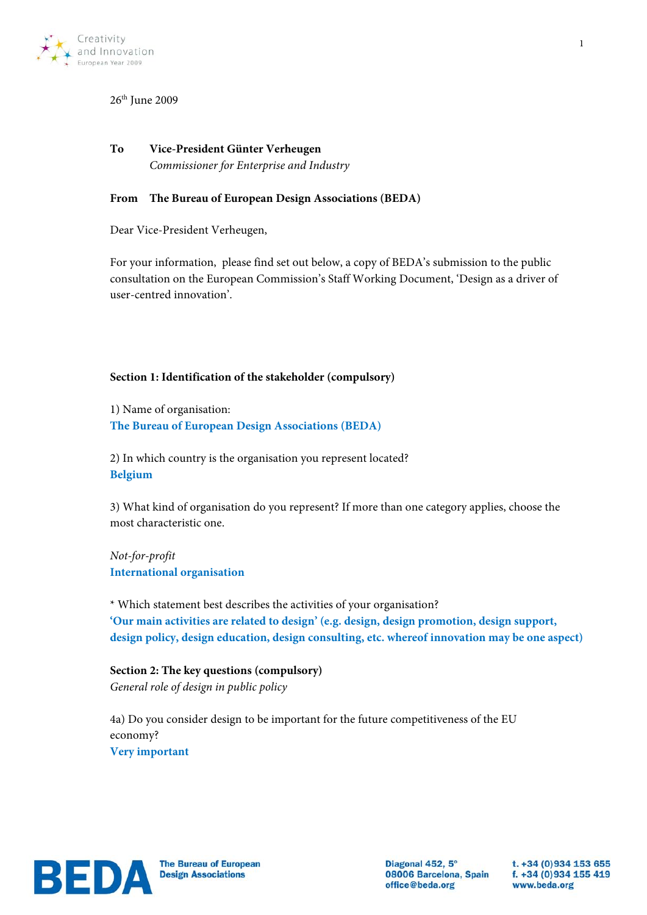

# 26<sup>th</sup> June 2009

# **To Vice-President Günter Verheugen** *Commissioner for Enterprise and Industry*

## **From The Bureau of European Design Associations (BEDA)**

Dear Vice-President Verheugen,

For your information, please find set out below, a copy of BEDA's submission to the public consultation on the European Commission's Staff Working Document, 'Design as a driver of user-centred innovation'.

## **Section 1: Identification of the stakeholder (compulsory)**

1) Name of organisation: **The Bureau of European Design Associations (BEDA)**

2) In which country is the organisation you represent located? **Belgium**

3) What kind of organisation do you represent? If more than one category applies, choose the most characteristic one.

*Not-for-profit* **International organisation**

\* Which statement best describes the activities of your organisation? **'Our main activities are related to design' (e.g. design, design promotion, design support, design policy, design education, design consulting, etc. whereof innovation may be one aspect)**

# **Section 2: The key questions (compulsory)** *General role of design in public policy*

4a) Do you consider design to be important for the future competitiveness of the EU economy? **Very important**



Diagonal 452, 5° 08006 Barcelona, Spain office@beda.org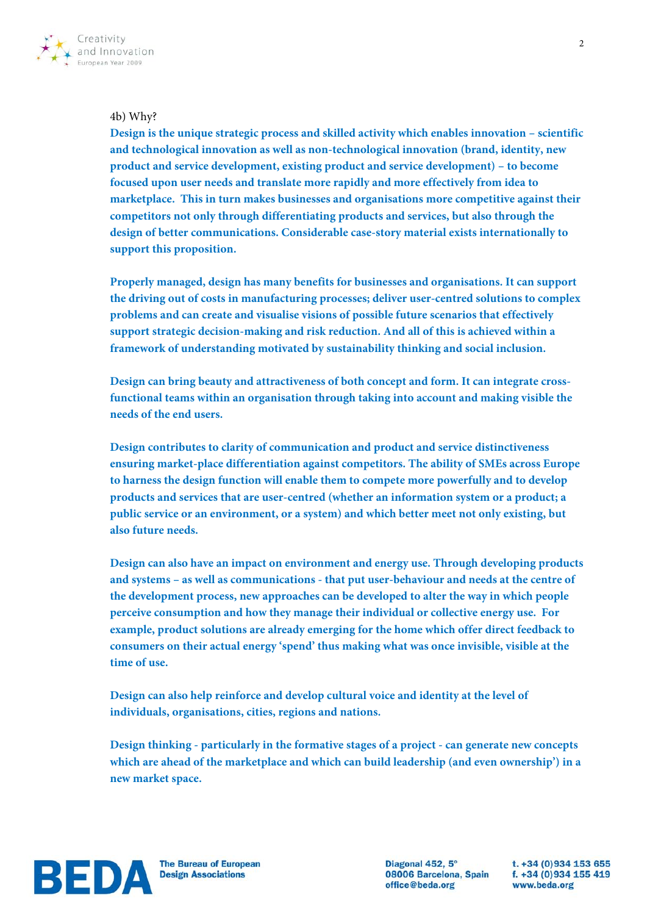

## 4b) Why?

**Design is the unique strategic process and skilled activity which enables innovation – scientific and technological innovation as well as non-technological innovation (brand, identity, new product and service development, existing product and service development) – to become focused upon user needs and translate more rapidly and more effectively from idea to marketplace. This in turn makes businesses and organisations more competitive against their competitors not only through differentiating products and services, but also through the design of better communications. Considerable case-story material exists internationally to support this proposition.** 

**Properly managed, design has many benefits for businesses and organisations. It can support the driving out of costs in manufacturing processes; deliver user-centred solutions to complex problems and can create and visualise visions of possible future scenarios that effectively support strategic decision-making and risk reduction. And all of this is achieved within a framework of understanding motivated by sustainability thinking and social inclusion.**

**Design can bring beauty and attractiveness of both concept and form. It can integrate crossfunctional teams within an organisation through taking into account and making visible the needs of the end users.** 

**Design contributes to clarity of communication and product and service distinctiveness ensuring market-place differentiation against competitors. The ability of SMEs across Europe to harness the design function will enable them to compete more powerfully and to develop products and services that are user-centred (whether an information system or a product; a public service or an environment, or a system) and which better meet not only existing, but also future needs.** 

**Design can also have an impact on environment and energy use. Through developing products and systems – as well as communications - that put user-behaviour and needs at the centre of the development process, new approaches can be developed to alter the way in which people perceive consumption and how they manage their individual or collective energy use. For example, product solutions are already emerging for the home which offer direct feedback to consumers on their actual energy 'spend' thus making what was once invisible, visible at the time of use.**

**Design can also help reinforce and develop cultural voice and identity at the level of individuals, organisations, cities, regions and nations.**

**Design thinking - particularly in the formative stages of a project - can generate new concepts which are ahead of the marketplace and which can build leadership (and even ownership') in a new market space.** 



Diagonal 452, 5° 08006 Barcelona, Spain office@beda.org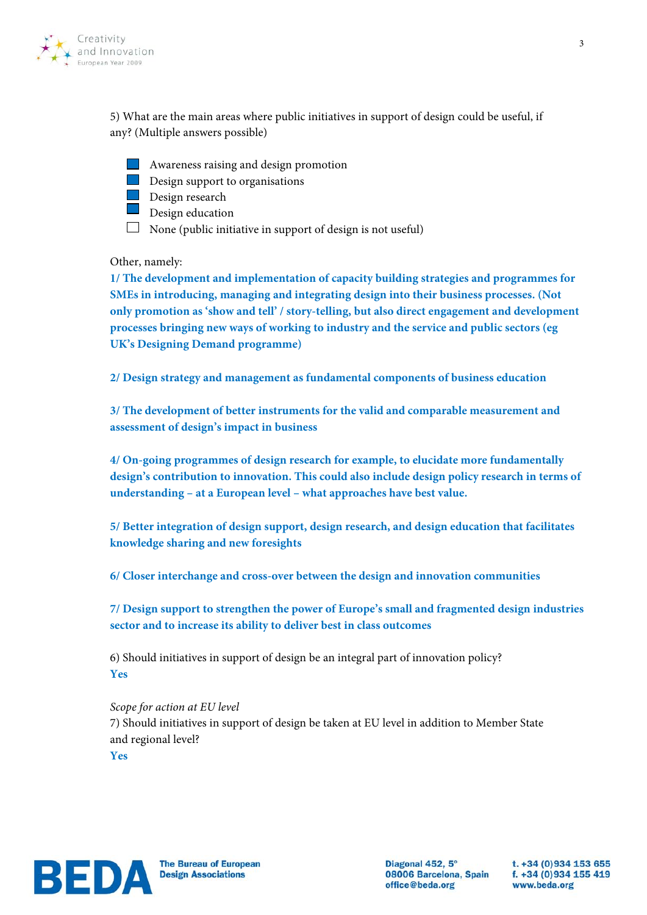

5) What are the main areas where public initiatives in support of design could be useful, if any? (Multiple answers possible)

**Awareness raising and design promotion** 

**Design support to organisations Design research** 

Design education

 $\Box$  None (public initiative in support of design is not useful)

Other, namely:

**1/ The development and implementation of capacity building strategies and programmes for SMEs in introducing, managing and integrating design into their business processes. (Not only promotion as 'show and tell' / story-telling, but also direct engagement and development processes bringing new ways of working to industry and the service and public sectors (eg UK's Designing Demand programme)** 

**2/ Design strategy and management as fundamental components of business education** 

**3/ The development of better instruments for the valid and comparable measurement and assessment of design's impact in business**

**4/ On-going programmes of design research for example, to elucidate more fundamentally design's contribution to innovation. This could also include design policy research in terms of understanding – at a European level – what approaches have best value.**

**5/ Better integration of design support, design research, and design education that facilitates knowledge sharing and new foresights** 

**6/ Closer interchange and cross-over between the design and innovation communities**

**7/ Design support to strengthen the power of Europe's small and fragmented design industries sector and to increase its ability to deliver best in class outcomes**

6) Should initiatives in support of design be an integral part of innovation policy? **Yes**

*Scope for action at EU level* 7) Should initiatives in support of design be taken at EU level in addition to Member State and regional level? **Yes**



Diagonal 452, 5° 08006 Barcelona, Spain office@beda.org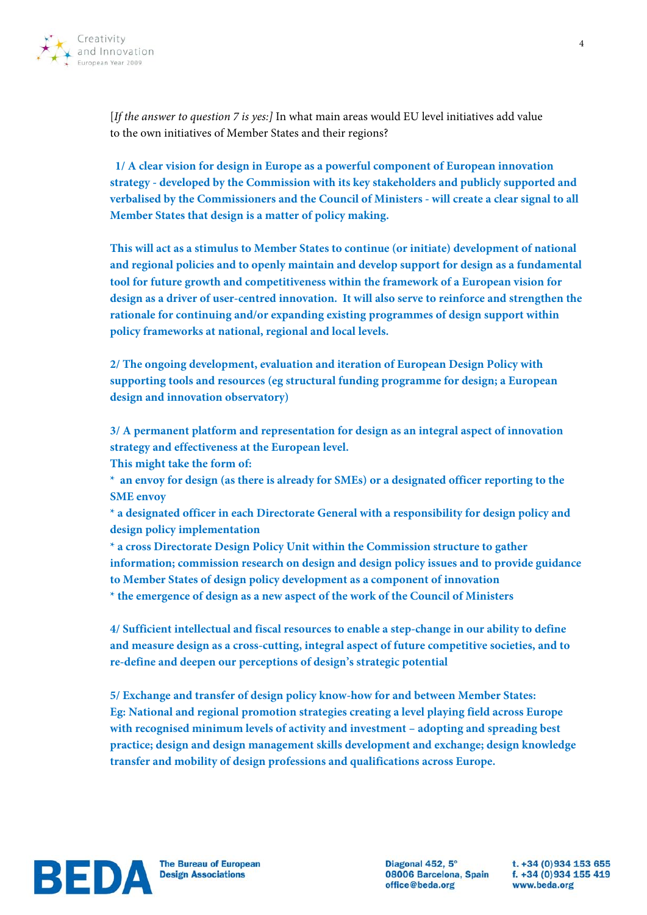

[*If the answer to question 7 is yes:]* In what main areas would EU level initiatives add value to the own initiatives of Member States and their regions?

 **1/ A clear vision for design in Europe as a powerful component of European innovation strategy - developed by the Commission with its key stakeholders and publicly supported and verbalised by the Commissioners and the Council of Ministers - will create a clear signal to all Member States that design is a matter of policy making.** 

**This will act as a stimulus to Member States to continue (or initiate) development of national and regional policies and to openly maintain and develop support for design as a fundamental tool for future growth and competitiveness within the framework of a European vision for design as a driver of user-centred innovation. It will also serve to reinforce and strengthen the rationale for continuing and/or expanding existing programmes of design support within policy frameworks at national, regional and local levels.**

**2/ The ongoing development, evaluation and iteration of European Design Policy with supporting tools and resources (eg structural funding programme for design; a European design and innovation observatory)**

**3/ A permanent platform and representation for design as an integral aspect of innovation strategy and effectiveness at the European level.** 

**This might take the form of:**

**\* an envoy for design (as there is already for SMEs) or a designated officer reporting to the SME envoy**

**\* a designated officer in each Directorate General with a responsibility for design policy and design policy implementation**

**\* a cross Directorate Design Policy Unit within the Commission structure to gather information; commission research on design and design policy issues and to provide guidance to Member States of design policy development as a component of innovation \* the emergence of design as a new aspect of the work of the Council of Ministers**

**4/ Sufficient intellectual and fiscal resources to enable a step-change in our ability to define and measure design as a cross-cutting, integral aspect of future competitive societies, and to re-define and deepen our perceptions of design's strategic potential**

**5/ Exchange and transfer of design policy know-how for and between Member States: Eg: National and regional promotion strategies creating a level playing field across Europe with recognised minimum levels of activity and investment – adopting and spreading best practice; design and design management skills development and exchange; design knowledge transfer and mobility of design professions and qualifications across Europe.**



Diagonal 452, 5° 08006 Barcelona, Spain f. +34 (0) 934 155 419 office@beda.org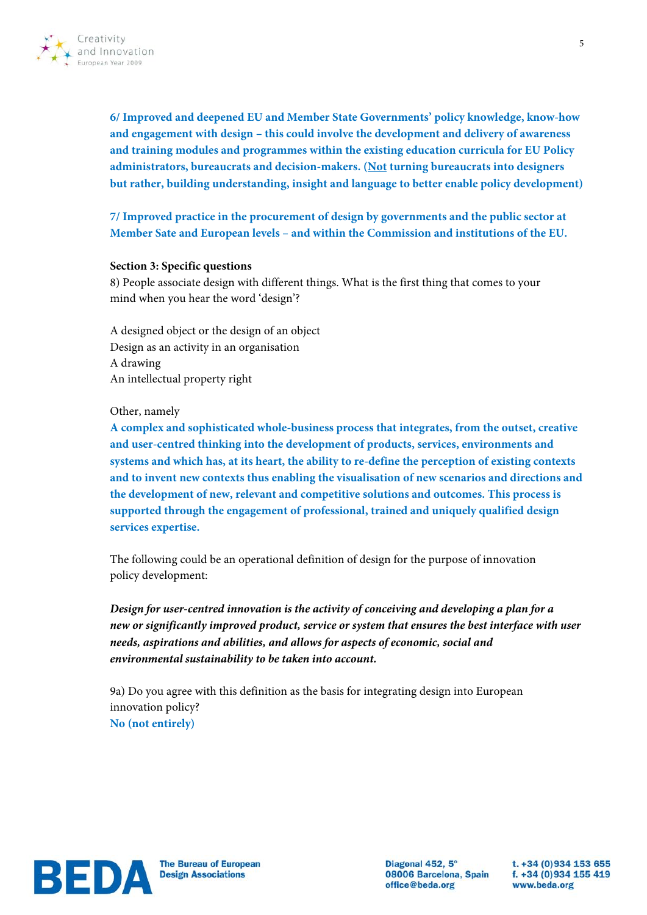

**6/ Improved and deepened EU and Member State Governments' policy knowledge, know-how and engagement with design – this could involve the development and delivery of awareness and training modules and programmes within the existing education curricula for EU Policy administrators, bureaucrats and decision-makers. (Not turning bureaucrats into designers but rather, building understanding, insight and language to better enable policy development)**

**7/ Improved practice in the procurement of design by governments and the public sector at Member Sate and European levels – and within the Commission and institutions of the EU.**

#### **Section 3: Specific questions**

8) People associate design with different things. What is the first thing that comes to your mind when you hear the word 'design'?

A designed object or the design of an object Design as an activity in an organisation A drawing An intellectual property right

Other, namely

**A complex and sophisticated whole-business process that integrates, from the outset, creative and user-centred thinking into the development of products, services, environments and systems and which has, at its heart, the ability to re-define the perception of existing contexts and to invent new contexts thus enabling the visualisation of new scenarios and directions and the development of new, relevant and competitive solutions and outcomes. This process is supported through the engagement of professional, trained and uniquely qualified design services expertise.**

The following could be an operational definition of design for the purpose of innovation policy development:

*Design for user-centred innovation is the activity of conceiving and developing a plan for a new or significantly improved product, service or system that ensures the best interface with user needs, aspirations and abilities, and allows for aspects of economic, social and environmental sustainability to be taken into account.*

9a) Do you agree with this definition as the basis for integrating design into European innovation policy? **No (not entirely)**



Diagonal 452, 5° 08006 Barcelona, Spain office@beda.org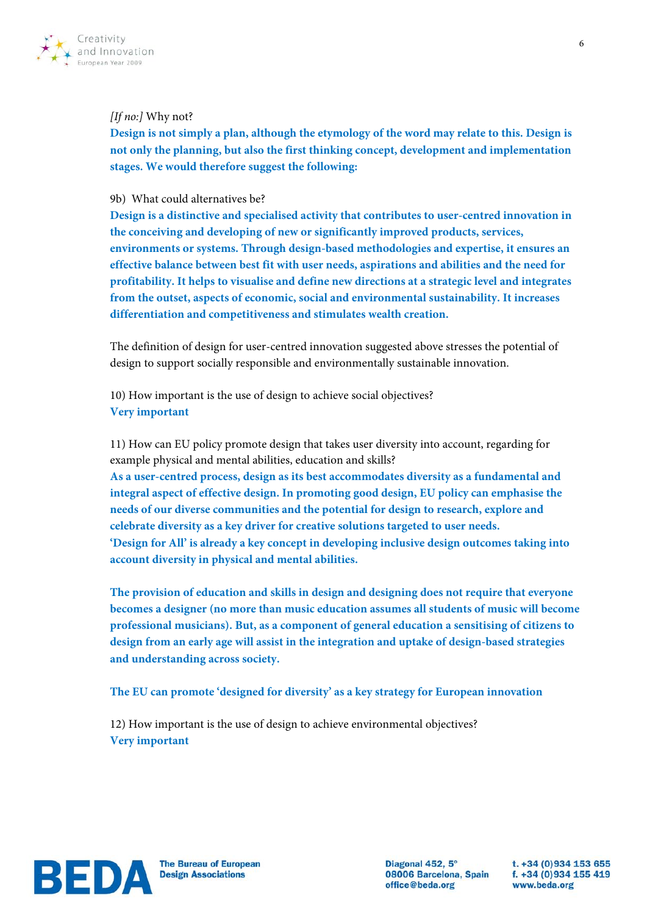

## *[If no:]* Why not?

**Design is not simply a plan, although the etymology of the word may relate to this. Design is not only the planning, but also the first thinking concept, development and implementation stages. We would therefore suggest the following:**

## 9b) What could alternatives be?

**Design is a distinctive and specialised activity that contributes to user-centred innovation in the conceiving and developing of new or significantly improved products, services, environments or systems. Through design-based methodologies and expertise, it ensures an effective balance between best fit with user needs, aspirations and abilities and the need for profitability. It helps to visualise and define new directions at a strategic level and integrates from the outset, aspects of economic, social and environmental sustainability. It increases differentiation and competitiveness and stimulates wealth creation.**

The definition of design for user-centred innovation suggested above stresses the potential of design to support socially responsible and environmentally sustainable innovation.

10) How important is the use of design to achieve social objectives? **Very important**

11) How can EU policy promote design that takes user diversity into account, regarding for example physical and mental abilities, education and skills?

**As a user-centred process, design as its best accommodates diversity as a fundamental and integral aspect of effective design. In promoting good design, EU policy can emphasise the needs of our diverse communities and the potential for design to research, explore and celebrate diversity as a key driver for creative solutions targeted to user needs. 'Design for All' is already a key concept in developing inclusive design outcomes taking into account diversity in physical and mental abilities.** 

**The provision of education and skills in design and designing does not require that everyone becomes a designer (no more than music education assumes all students of music will become professional musicians). But, as a component of general education a sensitising of citizens to design from an early age will assist in the integration and uptake of design-based strategies and understanding across society.**

# **The EU can promote 'designed for diversity' as a key strategy for European innovation**

12) How important is the use of design to achieve environmental objectives? **Very important**

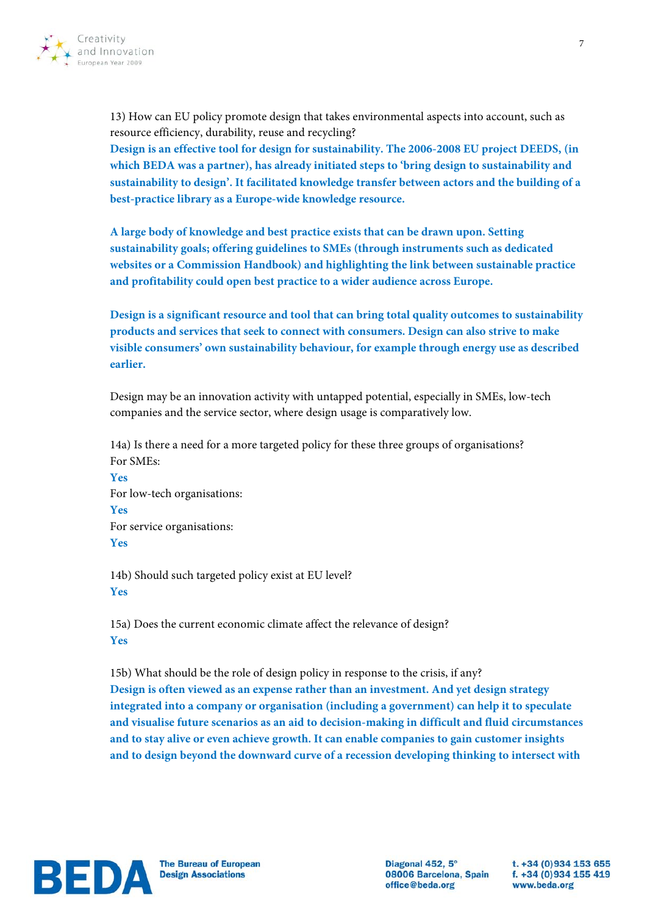

13) How can EU policy promote design that takes environmental aspects into account, such as resource efficiency, durability, reuse and recycling? **Design is an effective tool for design for sustainability. The 2006-2008 EU project DEEDS, (in which BEDA was a partner), has already initiated steps to 'bring design to sustainability and sustainability to design'. It facilitated knowledge transfer between actors and the building of a best-practice library as a Europe-wide knowledge resource.**

**A large body of knowledge and best practice exists that can be drawn upon. Setting sustainability goals; offering guidelines to SMEs (through instruments such as dedicated websites or a Commission Handbook) and highlighting the link between sustainable practice and profitability could open best practice to a wider audience across Europe.** 

**Design is a significant resource and tool that can bring total quality outcomes to sustainability products and services that seek to connect with consumers. Design can also strive to make visible consumers' own sustainability behaviour, for example through energy use as described earlier.** 

Design may be an innovation activity with untapped potential, especially in SMEs, low-tech companies and the service sector, where design usage is comparatively low.

14a) Is there a need for a more targeted policy for these three groups of organisations? For SMEs:

**Yes** For low-tech organisations: **Yes** For service organisations: **Yes**

14b) Should such targeted policy exist at EU level? **Yes**

15a) Does the current economic climate affect the relevance of design? **Yes**

15b) What should be the role of design policy in response to the crisis, if any? **Design is often viewed as an expense rather than an investment. And yet design strategy integrated into a company or organisation (including a government) can help it to speculate and visualise future scenarios as an aid to decision-making in difficult and fluid circumstances and to stay alive or even achieve growth. It can enable companies to gain customer insights and to design beyond the downward curve of a recession developing thinking to intersect with** 



Diagonal 452, 5° 08006 Barcelona, Spain office@beda.org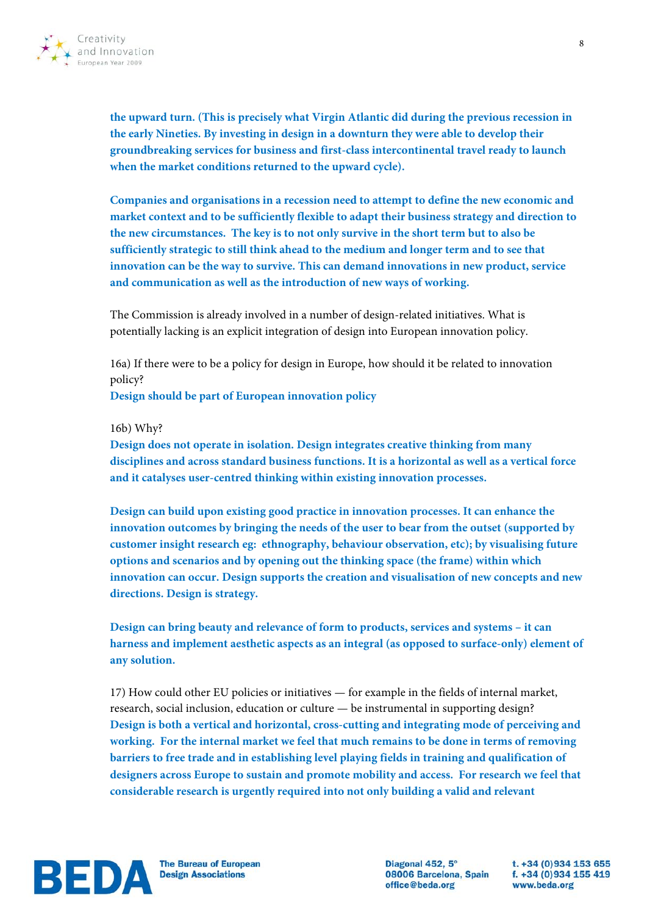

**the upward turn. (This is precisely what Virgin Atlantic did during the previous recession in the early Nineties. By investing in design in a downturn they were able to develop their groundbreaking services for business and first-class intercontinental travel ready to launch when the market conditions returned to the upward cycle).** 

**Companies and organisations in a recession need to attempt to define the new economic and market context and to be sufficiently flexible to adapt their business strategy and direction to the new circumstances. The key is to not only survive in the short term but to also be sufficiently strategic to still think ahead to the medium and longer term and to see that innovation can be the way to survive. This can demand innovations in new product, service and communication as well as the introduction of new ways of working.**

The Commission is already involved in a number of design-related initiatives. What is potentially lacking is an explicit integration of design into European innovation policy.

16a) If there were to be a policy for design in Europe, how should it be related to innovation policy?

**Design should be part of European innovation policy**

#### 16b) Why?

**Design does not operate in isolation. Design integrates creative thinking from many disciplines and across standard business functions. It is a horizontal as well as a vertical force and it catalyses user-centred thinking within existing innovation processes.** 

**Design can build upon existing good practice in innovation processes. It can enhance the innovation outcomes by bringing the needs of the user to bear from the outset (supported by customer insight research eg: ethnography, behaviour observation, etc); by visualising future options and scenarios and by opening out the thinking space (the frame) within which innovation can occur. Design supports the creation and visualisation of new concepts and new directions. Design is strategy.**

**Design can bring beauty and relevance of form to products, services and systems – it can harness and implement aesthetic aspects as an integral (as opposed to surface-only) element of any solution.**

17) How could other EU policies or initiatives — for example in the fields of internal market, research, social inclusion, education or culture — be instrumental in supporting design? **Design is both a vertical and horizontal, cross-cutting and integrating mode of perceiving and working. For the internal market we feel that much remains to be done in terms of removing barriers to free trade and in establishing level playing fields in training and qualification of designers across Europe to sustain and promote mobility and access. For research we feel that considerable research is urgently required into not only building a valid and relevant** 



**The Bureau of European** 

Diagonal 452, 5° 08006 Barcelona, Spain f. +34 (0)934 155 419 office@beda.org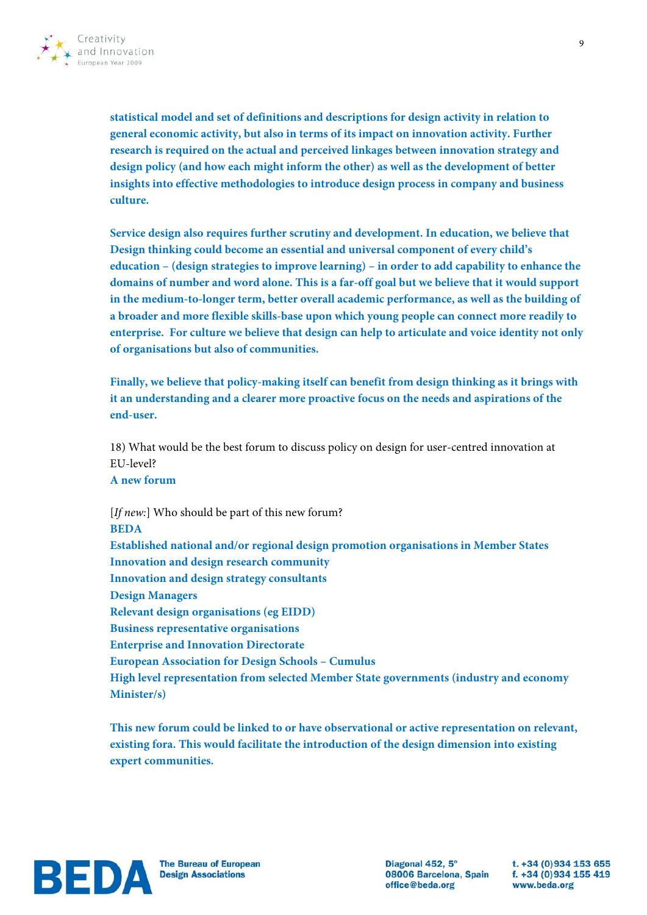

**statistical model and set of definitions and descriptions for design activity in relation to general economic activity, but also in terms of its impact on innovation activity. Further research is required on the actual and perceived linkages between innovation strategy and design policy (and how each might inform the other) as well as the development of better insights into effective methodologies to introduce design process in company and business culture.** 

**Service design also requires further scrutiny and development. In education, we believe that Design thinking could become an essential and universal component of every child's education – (design strategies to improve learning) – in order to add capability to enhance the domains of number and word alone. This is a far-off goal but we believe that it would support in the medium-to-longer term, better overall academic performance, as well as the building of a broader and more flexible skills-base upon which young people can connect more readily to enterprise. For culture we believe that design can help to articulate and voice identity not only of organisations but also of communities.**

**Finally, we believe that policy-making itself can benefit from design thinking as it brings with it an understanding and a clearer more proactive focus on the needs and aspirations of the end-user.**

18) What would be the best forum to discuss policy on design for user-centred innovation at EU-level?

**A new forum**

[*If new:*] Who should be part of this new forum? **BEDA Established national and/or regional design promotion organisations in Member States Innovation and design research community Innovation and design strategy consultants Design Managers Relevant design organisations (eg EIDD) Business representative organisations Enterprise and Innovation Directorate European Association for Design Schools – Cumulus High level representation from selected Member State governments (industry and economy Minister/s)**

**This new forum could be linked to or have observational or active representation on relevant, existing fora. This would facilitate the introduction of the design dimension into existing expert communities.**



Diagonal 452, 5° 08006 Barcelona, Spain office@beda.org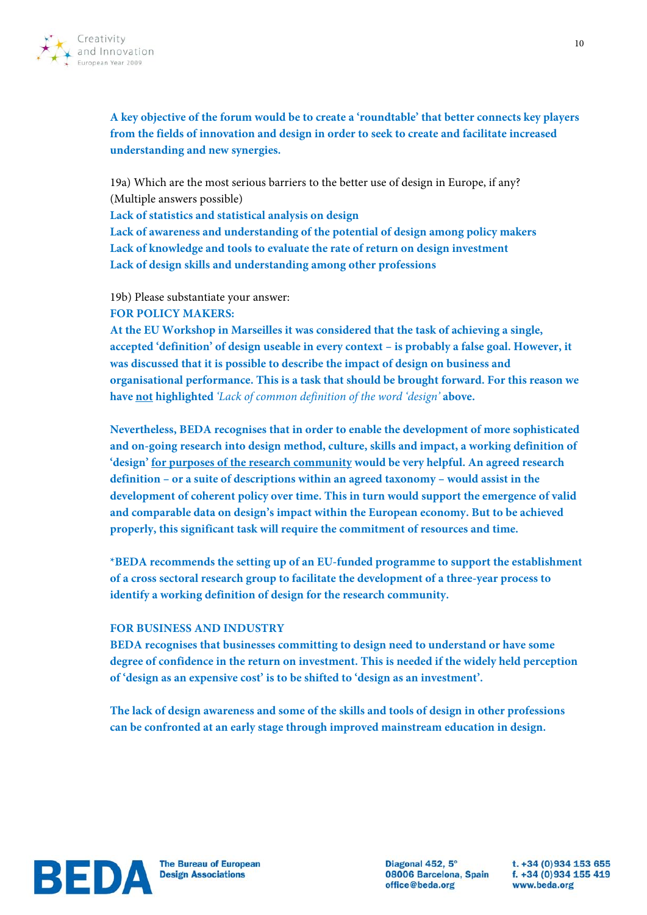

**A key objective of the forum would be to create a 'roundtable' that better connects key players from the fields of innovation and design in order to seek to create and facilitate increased understanding and new synergies.**

19a) Which are the most serious barriers to the better use of design in Europe, if any? (Multiple answers possible)

**Lack of statistics and statistical analysis on design**

**Lack of awareness and understanding of the potential of design among policy makers Lack of knowledge and tools to evaluate the rate of return on design investment Lack of design skills and understanding among other professions**

19b) Please substantiate your answer:

#### **FOR POLICY MAKERS:**

**At the EU Workshop in Marseilles it was considered that the task of achieving a single, accepted 'definition' of design useable in every context – is probably a false goal. However, it was discussed that it is possible to describe the impact of design on business and organisational performance. This is a task that should be brought forward. For this reason we have not highlighted** *'Lack of common definition of the word 'design'* **above.**

**Nevertheless, BEDA recognises that in order to enable the development of more sophisticated and on-going research into design method, culture, skills and impact, a working definition of 'design' for purposes of the research community would be very helpful. An agreed research definition – or a suite of descriptions within an agreed taxonomy – would assist in the development of coherent policy over time. This in turn would support the emergence of valid and comparable data on design's impact within the European economy. But to be achieved properly, this significant task will require the commitment of resources and time.** 

**\*BEDA recommends the setting up of an EU-funded programme to support the establishment of a cross sectoral research group to facilitate the development of a three-year process to identify a working definition of design for the research community.** 

#### **FOR BUSINESS AND INDUSTRY**

**BEDA recognises that businesses committing to design need to understand or have some degree of confidence in the return on investment. This is needed if the widely held perception of 'design as an expensive cost' is to be shifted to 'design as an investment'.**

**The lack of design awareness and some of the skills and tools of design in other professions can be confronted at an early stage through improved mainstream education in design.** 



Diagonal 452, 5° 08006 Barcelona, Spain f. +34 (0)934 155 419 office@beda.org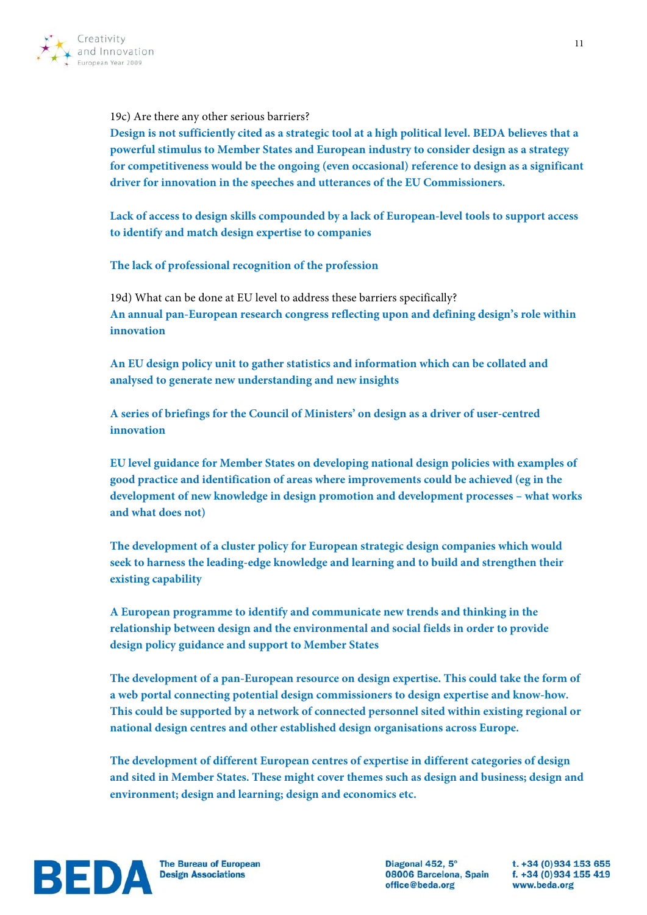

19c) Are there any other serious barriers?

**Design is not sufficiently cited as a strategic tool at a high political level. BEDA believes that a powerful stimulus to Member States and European industry to consider design as a strategy for competitiveness would be the ongoing (even occasional) reference to design as a significant driver for innovation in the speeches and utterances of the EU Commissioners.**

**Lack of access to design skills compounded by a lack of European-level tools to support access to identify and match design expertise to companies**

**The lack of professional recognition of the profession**

19d) What can be done at EU level to address these barriers specifically? **An annual pan-European research congress reflecting upon and defining design's role within innovation**

**An EU design policy unit to gather statistics and information which can be collated and analysed to generate new understanding and new insights**

**A series of briefings for the Council of Ministers' on design as a driver of user-centred innovation**

**EU level guidance for Member States on developing national design policies with examples of good practice and identification of areas where improvements could be achieved (eg in the development of new knowledge in design promotion and development processes – what works and what does not)**

**The development of a cluster policy for European strategic design companies which would seek to harness the leading-edge knowledge and learning and to build and strengthen their existing capability**

**A European programme to identify and communicate new trends and thinking in the relationship between design and the environmental and social fields in order to provide design policy guidance and support to Member States**

**The development of a pan-European resource on design expertise. This could take the form of a web portal connecting potential design commissioners to design expertise and know-how. This could be supported by a network of connected personnel sited within existing regional or national design centres and other established design organisations across Europe.**

**The development of different European centres of expertise in different categories of design and sited in Member States. These might cover themes such as design and business; design and environment; design and learning; design and economics etc.**



Diagonal 452, 5° 08006 Barcelona, Spain f. +34 (0)934 155 419 office@beda.org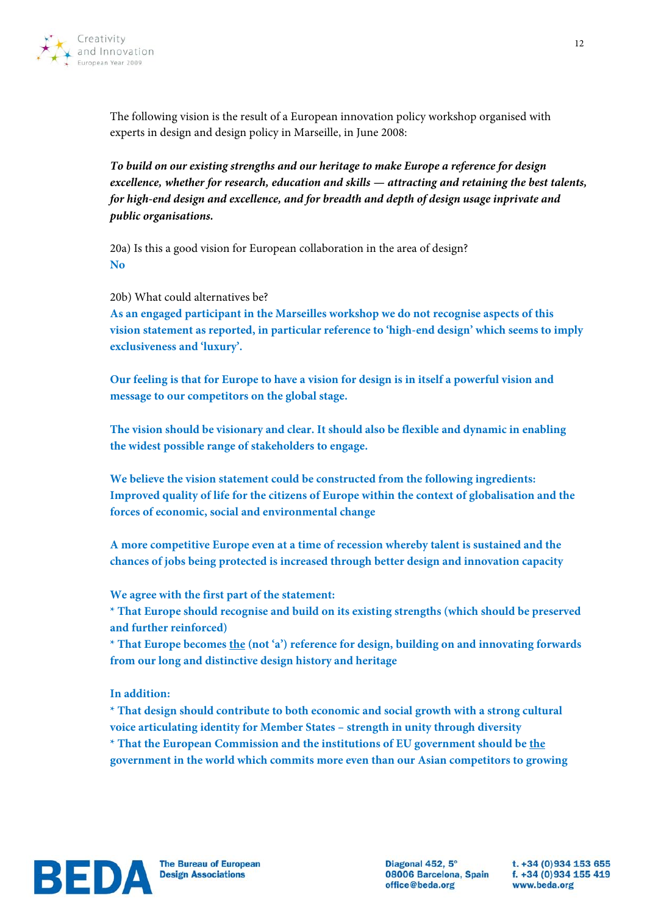

The following vision is the result of a European innovation policy workshop organised with experts in design and design policy in Marseille, in June 2008:

*To build on our existing strengths and our heritage to make Europe a reference for design excellence, whether for research, education and skills — attracting and retaining the best talents, for high-end design and excellence, and for breadth and depth of design usage inprivate and public organisations.*

20a) Is this a good vision for European collaboration in the area of design? **No**

20b) What could alternatives be?

**As an engaged participant in the Marseilles workshop we do not recognise aspects of this vision statement as reported, in particular reference to 'high-end design' which seems to imply exclusiveness and 'luxury'.** 

**Our feeling is that for Europe to have a vision for design is in itself a powerful vision and message to our competitors on the global stage.** 

**The vision should be visionary and clear. It should also be flexible and dynamic in enabling the widest possible range of stakeholders to engage.** 

**We believe the vision statement could be constructed from the following ingredients: Improved quality of life for the citizens of Europe within the context of globalisation and the forces of economic, social and environmental change**

**A more competitive Europe even at a time of recession whereby talent is sustained and the chances of jobs being protected is increased through better design and innovation capacity**

**We agree with the first part of the statement:**

**\* That Europe should recognise and build on its existing strengths (which should be preserved and further reinforced)** 

**\* That Europe becomes the (not 'a') reference for design, building on and innovating forwards from our long and distinctive design history and heritage** 

**In addition:**

**\* That design should contribute to both economic and social growth with a strong cultural voice articulating identity for Member States – strength in unity through diversity \* That the European Commission and the institutions of EU government should be the government in the world which commits more even than our Asian competitors to growing** 



Diagonal 452, 5° 08006 Barcelona, Spain office@beda.org